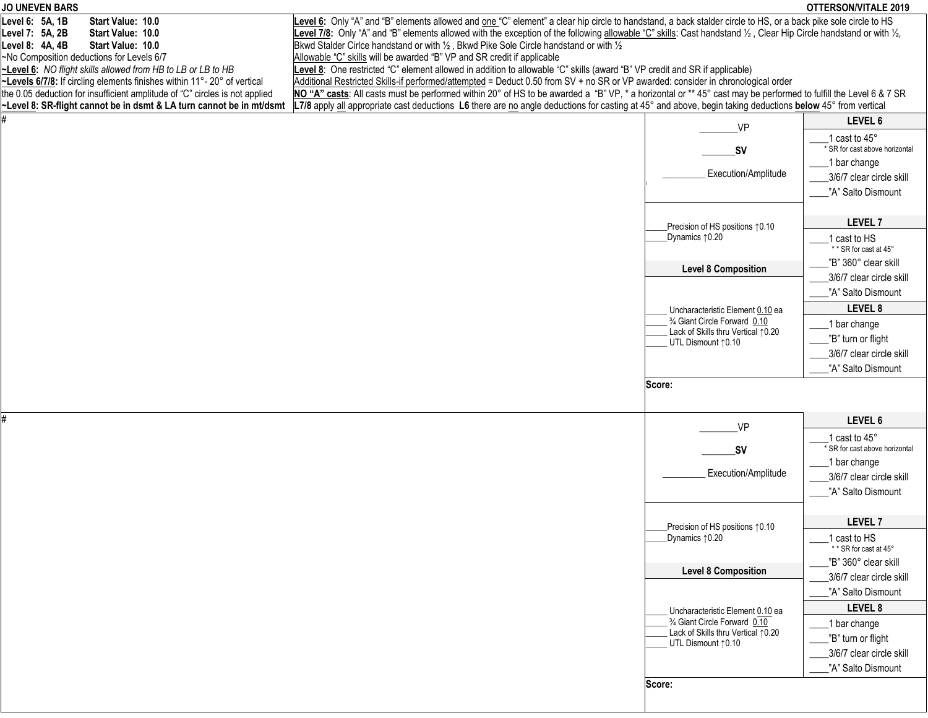| <b>JO UNEVEN BARS</b>                                                                                                                    |                                                                                                                                                                                                                                                                |                                                                   | <b>OTTERSON/VITALE 2019</b>    |
|------------------------------------------------------------------------------------------------------------------------------------------|----------------------------------------------------------------------------------------------------------------------------------------------------------------------------------------------------------------------------------------------------------------|-------------------------------------------------------------------|--------------------------------|
| Level 6: 5A, 1B<br>Start Value: 10.0                                                                                                     | Level 6: Only "A" and "B" elements allowed and one "C" element" a clear hip circle to handstand, a back stalder circle to HS, or a back pike sole circle to HS                                                                                                 |                                                                   |                                |
| Level 7: 5A, 2B<br>Start Value: 10.0                                                                                                     | Level 7/8: Only "A" and "B" elements allowed with the exception of the following allowable "C" skills: Cast handstand 1/2, Clear Hip Circle handstand or with 1/2,                                                                                             |                                                                   |                                |
| Level 8: 4A, 4B<br>Start Value: 10.0                                                                                                     | Bkwd Stalder Cirice handstand or with 1/2, Bkwd Pike Sole Circle handstand or with 1/2                                                                                                                                                                         |                                                                   |                                |
| ~No Composition deductions for Levels 6/7                                                                                                | Allowable "C" skills will be awarded "B" VP and SR credit if applicable                                                                                                                                                                                        |                                                                   |                                |
| ~Level 6: NO flight skills allowed from HB to LB or LB to HB<br>~Levels 6/7/8: If circling elements finishes within 11°- 20° of vertical | Level 8: One restricted "C" element allowed in addition to allowable "C" skills (award "B" VP credit and SR if applicable)<br>Additional Restricted Skills-if performed/attempted = Deduct 0.50 from SV + no SR or VP awarded: consider in chronological order |                                                                   |                                |
| the 0.05 deduction for insufficient amplitude of "C" circles is not applied                                                              | NO "A" casts: All casts must be performed within 20° of HS to be awarded a "B" VP, * a horizontal or ** 45° cast may be performed to fulfill the Level 6 & 7 SR                                                                                                |                                                                   |                                |
| ~Level 8: SR-flight cannot be in dsmt & LA turn cannot be in mt/dsmt                                                                     | L7/8 apply all appropriate cast deductions L6 there are no angle deductions for casting at 45° and above, begin taking deductions below 45° from vertical                                                                                                      |                                                                   |                                |
|                                                                                                                                          |                                                                                                                                                                                                                                                                |                                                                   | LEVEL 6                        |
|                                                                                                                                          |                                                                                                                                                                                                                                                                | VP                                                                |                                |
|                                                                                                                                          |                                                                                                                                                                                                                                                                |                                                                   | cast to 45°                    |
|                                                                                                                                          |                                                                                                                                                                                                                                                                | _SV                                                               | * SR for cast above horizontal |
|                                                                                                                                          |                                                                                                                                                                                                                                                                | Execution/Amplitude                                               | 1 bar change                   |
|                                                                                                                                          |                                                                                                                                                                                                                                                                |                                                                   | 3/6/7 clear circle skill       |
|                                                                                                                                          |                                                                                                                                                                                                                                                                |                                                                   | "A" Salto Dismount             |
|                                                                                                                                          |                                                                                                                                                                                                                                                                |                                                                   |                                |
|                                                                                                                                          |                                                                                                                                                                                                                                                                | Precision of HS positions 10.10                                   | LEVEL 7                        |
|                                                                                                                                          |                                                                                                                                                                                                                                                                | Dynamics 10.20                                                    | cast to HS                     |
|                                                                                                                                          |                                                                                                                                                                                                                                                                |                                                                   | ** SR for cast at 45°          |
|                                                                                                                                          |                                                                                                                                                                                                                                                                | <b>Level 8 Composition</b>                                        | "B" 360° clear skill           |
|                                                                                                                                          |                                                                                                                                                                                                                                                                |                                                                   | 3/6/7 clear circle skill       |
|                                                                                                                                          |                                                                                                                                                                                                                                                                |                                                                   | "A" Salto Dismount             |
|                                                                                                                                          |                                                                                                                                                                                                                                                                | Uncharacteristic Element 0.10 ea                                  | LEVEL 8                        |
|                                                                                                                                          |                                                                                                                                                                                                                                                                | 3/4 Giant Circle Forward 0.10                                     | 1 bar change                   |
|                                                                                                                                          |                                                                                                                                                                                                                                                                | Lack of Skills thru Vertical 10.20                                | "B" turn or flight             |
|                                                                                                                                          |                                                                                                                                                                                                                                                                | UTL Dismount 10.10                                                | 3/6/7 clear circle skill       |
|                                                                                                                                          |                                                                                                                                                                                                                                                                |                                                                   | "A" Salto Dismount             |
|                                                                                                                                          |                                                                                                                                                                                                                                                                |                                                                   |                                |
|                                                                                                                                          |                                                                                                                                                                                                                                                                | Score:                                                            |                                |
|                                                                                                                                          |                                                                                                                                                                                                                                                                |                                                                   |                                |
| #                                                                                                                                        |                                                                                                                                                                                                                                                                | _VP                                                               | LEVEL 6                        |
|                                                                                                                                          |                                                                                                                                                                                                                                                                |                                                                   | 1 cast to 45°                  |
|                                                                                                                                          |                                                                                                                                                                                                                                                                | _SV                                                               | * SR for cast above horizontal |
|                                                                                                                                          |                                                                                                                                                                                                                                                                |                                                                   | 1 bar change                   |
|                                                                                                                                          |                                                                                                                                                                                                                                                                | Execution/Amplitude                                               | 3/6/7 clear circle skill       |
|                                                                                                                                          |                                                                                                                                                                                                                                                                |                                                                   | "A" Salto Dismount             |
|                                                                                                                                          |                                                                                                                                                                                                                                                                |                                                                   |                                |
|                                                                                                                                          |                                                                                                                                                                                                                                                                |                                                                   | LEVEL <sub>7</sub>             |
|                                                                                                                                          |                                                                                                                                                                                                                                                                | Precision of HS positions 10.10<br>Dynamics 10.20                 | 1 cast to HS                   |
|                                                                                                                                          |                                                                                                                                                                                                                                                                |                                                                   | ** SR for cast at 45°          |
|                                                                                                                                          |                                                                                                                                                                                                                                                                |                                                                   | "B" 360° clear skill           |
|                                                                                                                                          |                                                                                                                                                                                                                                                                | <b>Level 8 Composition</b>                                        | 3/6/7 clear circle skill       |
|                                                                                                                                          |                                                                                                                                                                                                                                                                |                                                                   | "A" Salto Dismount             |
|                                                                                                                                          |                                                                                                                                                                                                                                                                |                                                                   | LEVEL 8                        |
|                                                                                                                                          |                                                                                                                                                                                                                                                                | Uncharacteristic Element 0.10 ea<br>3/4 Giant Circle Forward 0.10 | 1 bar change                   |
|                                                                                                                                          |                                                                                                                                                                                                                                                                | Lack of Skills thru Vertical 10.20                                |                                |
|                                                                                                                                          |                                                                                                                                                                                                                                                                | UTL Dismount 10.10                                                | "B" turn or flight             |
|                                                                                                                                          |                                                                                                                                                                                                                                                                |                                                                   | 3/6/7 clear circle skill       |
|                                                                                                                                          |                                                                                                                                                                                                                                                                |                                                                   | "A" Salto Dismount             |
|                                                                                                                                          |                                                                                                                                                                                                                                                                | Score:                                                            |                                |
|                                                                                                                                          |                                                                                                                                                                                                                                                                |                                                                   |                                |
|                                                                                                                                          |                                                                                                                                                                                                                                                                |                                                                   |                                |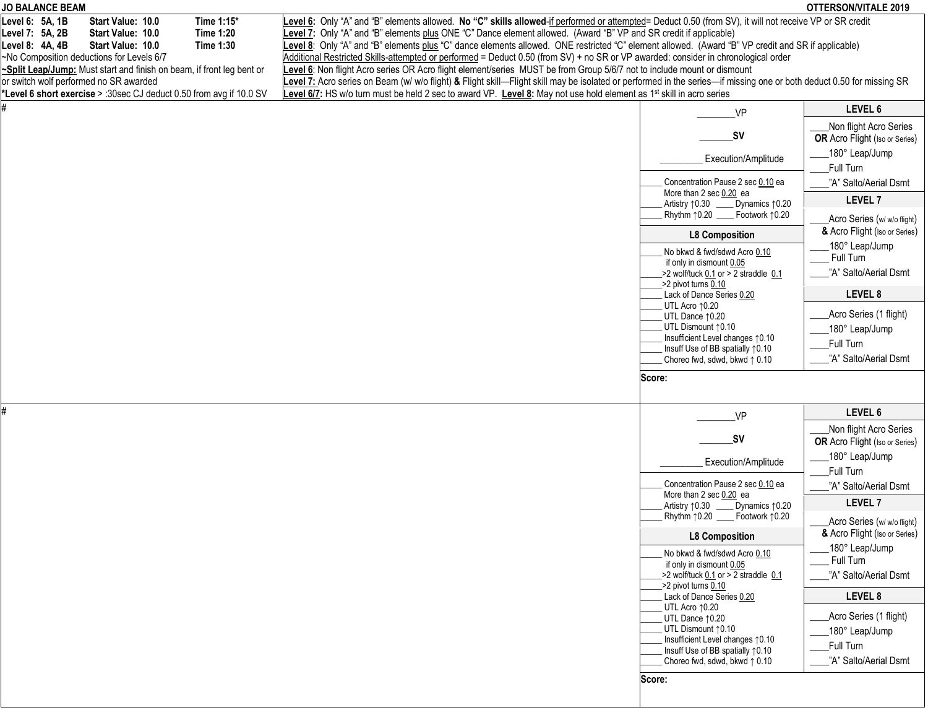| JO BALANCE BEAM                                                                                                                                                                                                         |                                                                                                                                                                                                                                                                                                                                                                                                                                                                                                                                                                          |                                                                                                  | OTTERSON/VITALE 2019                                            |
|-------------------------------------------------------------------------------------------------------------------------------------------------------------------------------------------------------------------------|--------------------------------------------------------------------------------------------------------------------------------------------------------------------------------------------------------------------------------------------------------------------------------------------------------------------------------------------------------------------------------------------------------------------------------------------------------------------------------------------------------------------------------------------------------------------------|--------------------------------------------------------------------------------------------------|-----------------------------------------------------------------|
| Time 1:15*<br>Level 6: 5A, 1B<br>Start Value: 10.0<br><b>Time 1:20</b><br>Level 7: 5A, 2B<br>Start Value: 10.0<br><b>Time 1:30</b><br>Level 8: 4A, 4B<br>Start Value: 10.0<br>~No Composition deductions for Levels 6/7 | Level 6: Only "A" and "B" elements allowed. No "C" skills allowed-if performed or attempted= Deduct 0.50 (from SV), it will not receive VP or SR credit<br>Level 7: Only "A" and "B" elements plus ONE "C" Dance element allowed. (Award "B" VP and SR credit if applicable)<br>Level 8: Only "A" and "B" elements plus "C" dance elements allowed. ONE restricted "C" element allowed. (Award "B" VP credit and SR if applicable)<br>Additional Restricted Skills-attempted or performed = Deduct 0.50 (from SV) + no SR or VP awarded: consider in chronological order |                                                                                                  |                                                                 |
| ~Split Leap/Jump: Must start and finish on beam, if front leg bent or<br>or switch wolf performed no SR awarded<br>*Level 6 short exercise > :30sec CJ deduct 0.50 from avg if 10.0 SV                                  | Level 6: Non flight Acro series OR Acro flight element/series MUST be from Group 5/6/7 not to include mount or dismount<br>Level 7: Acro series on Beam (w/ w/o flight) & Flight skill—Flight skill may be isolated or performed in the series—if missing one or both deduct 0.50 for missing SR<br>Level 6/7: HS w/o turn must be held 2 sec to award VP. Level 8: May not use hold element as 1 <sup>st</sup> skill in acro series                                                                                                                                     |                                                                                                  |                                                                 |
|                                                                                                                                                                                                                         |                                                                                                                                                                                                                                                                                                                                                                                                                                                                                                                                                                          | <b>VP</b>                                                                                        | LEVEL 6                                                         |
|                                                                                                                                                                                                                         |                                                                                                                                                                                                                                                                                                                                                                                                                                                                                                                                                                          | _SV                                                                                              | Non flight Acro Series<br><b>OR</b> Acro Flight (Iso or Series) |
|                                                                                                                                                                                                                         |                                                                                                                                                                                                                                                                                                                                                                                                                                                                                                                                                                          | Execution/Amplitude                                                                              | 180° Leap/Jump                                                  |
|                                                                                                                                                                                                                         |                                                                                                                                                                                                                                                                                                                                                                                                                                                                                                                                                                          | Concentration Pause 2 sec 0.10 ea                                                                | Full Turn<br>"A" Salto/Aerial Dsmt                              |
|                                                                                                                                                                                                                         |                                                                                                                                                                                                                                                                                                                                                                                                                                                                                                                                                                          | More than 2 sec 0.20 ea<br>Artistry 10.30<br>Dynamics 10.20<br>Rhythm 10.20 _____ Footwork 10.20 | <b>LEVEL 7</b>                                                  |
|                                                                                                                                                                                                                         |                                                                                                                                                                                                                                                                                                                                                                                                                                                                                                                                                                          | <b>L8 Composition</b>                                                                            | Acro Series (w/w/o flight)<br>& Acro Flight (Iso or Series)     |
|                                                                                                                                                                                                                         |                                                                                                                                                                                                                                                                                                                                                                                                                                                                                                                                                                          | No bkwd & fwd/sdwd Acro 0.10<br>if only in dismount 0.05                                         | 180° Leap/Jump<br>Full Turn                                     |
|                                                                                                                                                                                                                         |                                                                                                                                                                                                                                                                                                                                                                                                                                                                                                                                                                          | $>2$ wolf/tuck 0.1 or $>2$ straddle 0.1<br>->2 pivot turns 0.10                                  | "A" Salto/Aerial Dsmt<br>LEVEL 8                                |
|                                                                                                                                                                                                                         |                                                                                                                                                                                                                                                                                                                                                                                                                                                                                                                                                                          | Lack of Dance Series 0.20<br>UTL Acro 10.20<br>UTL Dance 10.20                                   | Acro Series (1 flight)                                          |
|                                                                                                                                                                                                                         |                                                                                                                                                                                                                                                                                                                                                                                                                                                                                                                                                                          | UTL Dismount 10.10<br>Insufficient Level changes 10.10                                           | 180° Leap/Jump<br>Full Turn                                     |
|                                                                                                                                                                                                                         |                                                                                                                                                                                                                                                                                                                                                                                                                                                                                                                                                                          | Insuff Use of BB spatially 10.10<br>Choreo fwd, sdwd, bkwd 1 0.10                                | "A" Salto/Aerial Dsmt                                           |
|                                                                                                                                                                                                                         |                                                                                                                                                                                                                                                                                                                                                                                                                                                                                                                                                                          | Score:                                                                                           |                                                                 |
|                                                                                                                                                                                                                         |                                                                                                                                                                                                                                                                                                                                                                                                                                                                                                                                                                          | VP                                                                                               | LEVEL 6                                                         |
|                                                                                                                                                                                                                         |                                                                                                                                                                                                                                                                                                                                                                                                                                                                                                                                                                          | _SV                                                                                              | Non flight Acro Series<br><b>OR</b> Acro Flight (Iso or Series) |
|                                                                                                                                                                                                                         |                                                                                                                                                                                                                                                                                                                                                                                                                                                                                                                                                                          | Execution/Amplitude                                                                              | 180° Leap/Jump<br>Full Turn                                     |
|                                                                                                                                                                                                                         |                                                                                                                                                                                                                                                                                                                                                                                                                                                                                                                                                                          | Concentration Pause 2 sec 0.10 ea<br>More than 2 sec 0.20 ea                                     | "A" Salto/Aerial Dsmt                                           |
|                                                                                                                                                                                                                         |                                                                                                                                                                                                                                                                                                                                                                                                                                                                                                                                                                          | Artistry ↑0.30<br>Dynamics ↑ 0.20                                                                | <b>LEVEL 7</b>                                                  |
|                                                                                                                                                                                                                         |                                                                                                                                                                                                                                                                                                                                                                                                                                                                                                                                                                          | Rhythm $\uparrow$ 0.20 __<br>Footwork 10.20<br><b>L8 Composition</b>                             | Acro Series (w/w/o flight)<br>& Acro Flight (Iso or Series)     |
|                                                                                                                                                                                                                         |                                                                                                                                                                                                                                                                                                                                                                                                                                                                                                                                                                          | No bkwd & fwd/sdwd Acro 0.10<br>if only in dismount 0.05                                         | 180° Leap/Jump<br>Full Turn                                     |
|                                                                                                                                                                                                                         |                                                                                                                                                                                                                                                                                                                                                                                                                                                                                                                                                                          | $>2$ wolf/tuck 0.1 or $>2$ straddle 0.1<br>->2 pivot turns 0.10                                  | "A" Salto/Aerial Dsmt                                           |
|                                                                                                                                                                                                                         |                                                                                                                                                                                                                                                                                                                                                                                                                                                                                                                                                                          | Lack of Dance Series 0.20<br>UTL Acro 10.20                                                      | LEVEL 8                                                         |
|                                                                                                                                                                                                                         |                                                                                                                                                                                                                                                                                                                                                                                                                                                                                                                                                                          | UTL Dance 10.20                                                                                  | Acro Series (1 flight)                                          |
|                                                                                                                                                                                                                         |                                                                                                                                                                                                                                                                                                                                                                                                                                                                                                                                                                          | UTL Dismount 10.10<br>Insufficient Level changes 10.10                                           | 180° Leap/Jump<br>Full Turn                                     |
|                                                                                                                                                                                                                         |                                                                                                                                                                                                                                                                                                                                                                                                                                                                                                                                                                          | Insuff Use of BB spatially 10.10<br>Choreo fwd. sdwd. bkwd 1 0.10                                | "A" Salto/Aerial Dsmt                                           |
|                                                                                                                                                                                                                         |                                                                                                                                                                                                                                                                                                                                                                                                                                                                                                                                                                          | Score:                                                                                           |                                                                 |
|                                                                                                                                                                                                                         |                                                                                                                                                                                                                                                                                                                                                                                                                                                                                                                                                                          |                                                                                                  |                                                                 |